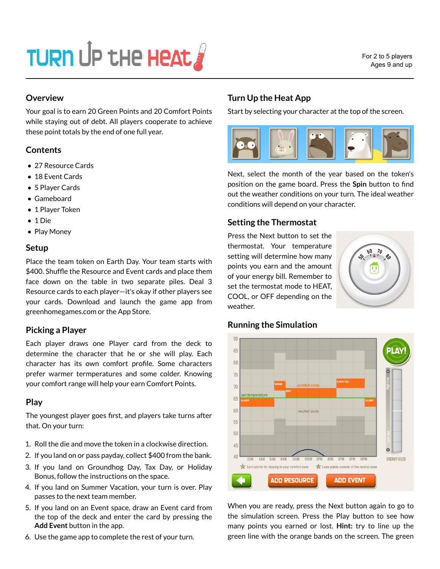# TURN UP THE HEAT

# **Overview**

Your goal is to earn 20 Green Points and 20 Comfort Points while staying out of debt. All players cooperate to achieve these point totals by the end of one full year.

# **Contents**

- 27 Resource Cards
- 18 Event Cards
- 5 Player Cards
- Gameboard
- 1 Player Token
- 1 Die
- Play Money

## **Setup**

Place the team token on Earth Day. Your team starts with \$400. Shuffle the Resource and Event cards and place them face down on the table in two separate piles. Deal 3 Resource cards to each player—it's okay if other players see your cards. Download and launch the game app from greenhomegames.com or the App Store.

# **Picking a Player**

Each player draws one Player card from the deck to determine the character that he or she will play. Each character has its own comfort profile. Some characters prefer warmer termperatures and some colder. Knowing your comfort range will help your earn Comfort Points.

# **Play**

The youngest player goes first, and players take turns after that. On your turn:

- 1. Roll the die and move the token in a clockwise direction.
- 2. If you land on or pass payday, collect \$400 from the bank.
- 3. If you land on Groundhog Day, Tax Day, or Holiday Bonus, follow the instructions on the space.
- 4. If you land on Summer Vacation, your turn is over. Play passes to the next team member.
- 5. If you land on an Event space, draw an Event card from the top of the deck and enter the card by pressing the **Add Event** button in the app.
- 6. Use the game app to complete the rest of your turn.

# **Turn Up the Heat App**

Start by selecting your character at the top of the screen.



Next, select the month of the year based on the token's position on the game board. Press the **Spin** button to find out the weather conditions on your turn. The ideal weather conditions will depend on your character.

# **Setting the Thermostat**

Press the Next button to set the thermostat. Your temperature setting will determine how many points you earn and the amount of your energy bill. Remember to set the termostat mode to HEAT, COOL, or OFF depending on the weather.





When you are ready, press the Next button again to go to the simulation screen. Press the Play button to see how many points you earned or lost. **Hint:** try to line up the green line with the orange bands on the screen. The green

#### **Running the Simulation**